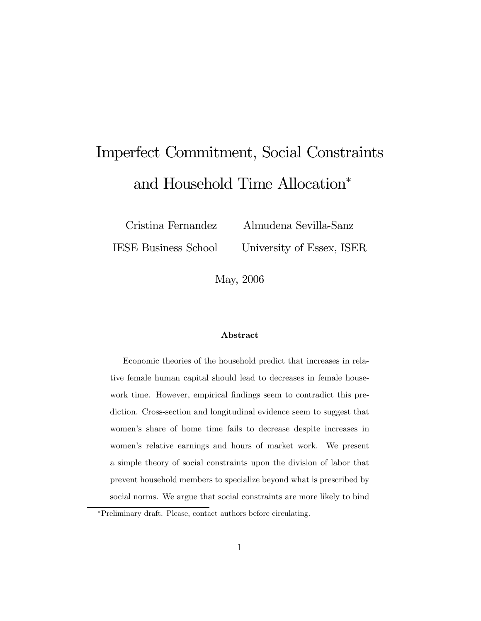# Imperfect Commitment, Social Constraints and Household Time Allocation<sup>∗</sup>

Cristina Fernandez Almudena Sevilla-Sanz

IESE Business School University of Essex, ISER

May, 2006

#### Abstract

Economic theories of the household predict that increases in relative female human capital should lead to decreases in female housework time. However, empirical findings seem to contradict this prediction. Cross-section and longitudinal evidence seem to suggest that women's share of home time fails to decrease despite increases in women's relative earnings and hours of market work. We present a simple theory of social constraints upon the division of labor that prevent household members to specialize beyond what is prescribed by social norms. We argue that social constraints are more likely to bind

<sup>∗</sup>Preliminary draft. Please, contact authors before circulating.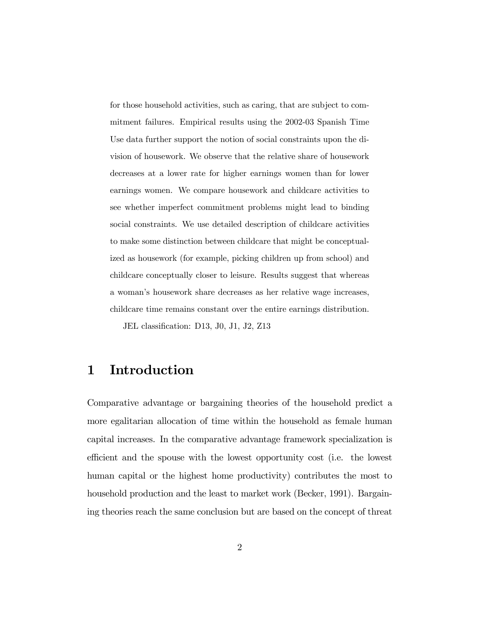for those household activities, such as caring, that are subject to commitment failures. Empirical results using the 2002-03 Spanish Time Use data further support the notion of social constraints upon the division of housework. We observe that the relative share of housework decreases at a lower rate for higher earnings women than for lower earnings women. We compare housework and childcare activities to see whether imperfect commitment problems might lead to binding social constraints. We use detailed description of childcare activities to make some distinction between childcare that might be conceptualized as housework (for example, picking children up from school) and childcare conceptually closer to leisure. Results suggest that whereas a woman's housework share decreases as her relative wage increases, childcare time remains constant over the entire earnings distribution.

JEL classification: D13, J0, J1, J2, Z13

# 1 Introduction

Comparative advantage or bargaining theories of the household predict a more egalitarian allocation of time within the household as female human capital increases. In the comparative advantage framework specialization is efficient and the spouse with the lowest opportunity cost (i.e. the lowest human capital or the highest home productivity) contributes the most to household production and the least to market work (Becker, 1991). Bargaining theories reach the same conclusion but are based on the concept of threat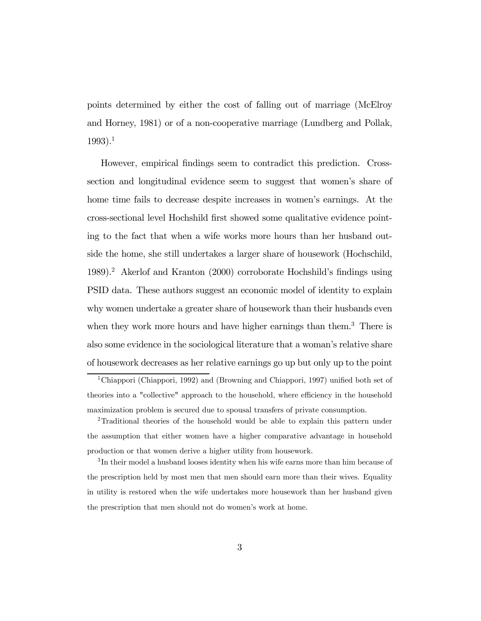points determined by either the cost of falling out of marriage (McElroy and Horney, 1981) or of a non-cooperative marriage (Lundberg and Pollak,  $1993$ ).<sup>1</sup>

However, empirical findings seem to contradict this prediction. Crosssection and longitudinal evidence seem to suggest that women's share of home time fails to decrease despite increases in women's earnings. At the cross-sectional level Hochshild first showed some qualitative evidence pointing to the fact that when a wife works more hours than her husband outside the home, she still undertakes a larger share of housework (Hochschild, 1989).2 Akerlof and Kranton (2000) corroborate Hochshild's findings using PSID data. These authors suggest an economic model of identity to explain why women undertake a greater share of housework than their husbands even when they work more hours and have higher earnings than them.<sup>3</sup> There is also some evidence in the sociological literature that a woman's relative share of housework decreases as her relative earnings go up but only up to the point

<sup>1</sup>Chiappori (Chiappori, 1992) and (Browning and Chiappori, 1997) unified both set of theories into a "collective" approach to the household, where efficiency in the household maximization problem is secured due to spousal transfers of private consumption.

<sup>2</sup>Traditional theories of the household would be able to explain this pattern under the assumption that either women have a higher comparative advantage in household production or that women derive a higher utility from housework.

<sup>&</sup>lt;sup>3</sup>In their model a husband looses identity when his wife earns more than him because of the prescription held by most men that men should earn more than their wives. Equality in utility is restored when the wife undertakes more housework than her husband given the prescription that men should not do women's work at home.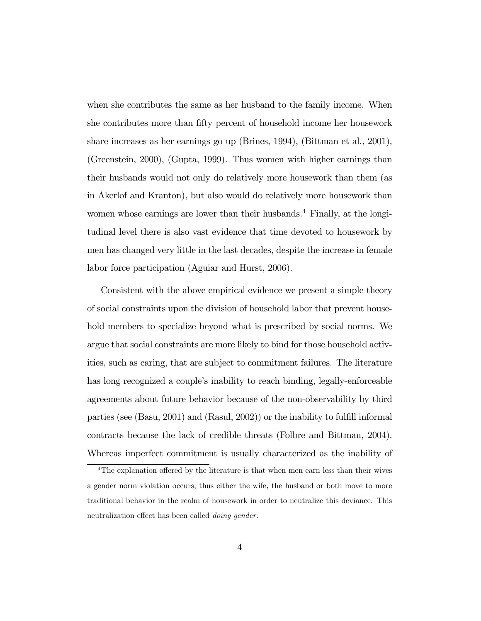when she contributes the same as her husband to the family income. When she contributes more than fifty percent of household income her housework share increases as her earnings go up (Brines, 1994), (Bittman et al., 2001), (Greenstein, 2000), (Gupta, 1999). Thus women with higher earnings than their husbands would not only do relatively more housework than them (as in Akerlof and Kranton), but also would do relatively more housework than women whose earnings are lower than their husbands.<sup>4</sup> Finally, at the longitudinal level there is also vast evidence that time devoted to housework by men has changed very little in the last decades, despite the increase in female labor force participation (Aguiar and Hurst, 2006).

Consistent with the above empirical evidence we present a simple theory of social constraints upon the division of household labor that prevent household members to specialize beyond what is prescribed by social norms. We argue that social constraints are more likely to bind for those household activities, such as caring, that are subject to commitment failures. The literature has long recognized a couple's inability to reach binding, legally-enforceable agreements about future behavior because of the non-observability by third parties (see (Basu, 2001) and (Rasul, 2002)) or the inability to fulfill informal contracts because the lack of credible threats (Folbre and Bittman, 2004). Whereas imperfect commitment is usually characterized as the inability of

<sup>&</sup>lt;sup>4</sup>The explanation offered by the literature is that when men earn less than their wives a gender norm violation occurs, thus either the wife, the husband or both move to more traditional behavior in the realm of housework in order to neutralize this deviance. This neutralization effect has been called doing gender.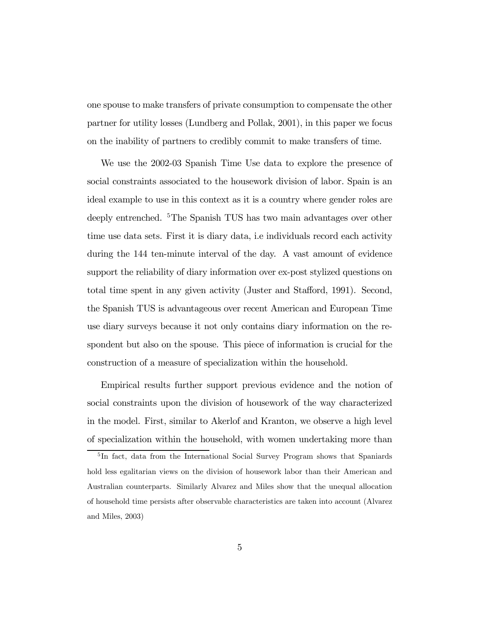one spouse to make transfers of private consumption to compensate the other partner for utility losses (Lundberg and Pollak, 2001), in this paper we focus on the inability of partners to credibly commit to make transfers of time.

We use the 2002-03 Spanish Time Use data to explore the presence of social constraints associated to the housework division of labor. Spain is an ideal example to use in this context as it is a country where gender roles are deeply entrenched. 5The Spanish TUS has two main advantages over other time use data sets. First it is diary data, i.e individuals record each activity during the 144 ten-minute interval of the day. A vast amount of evidence support the reliability of diary information over ex-post stylized questions on total time spent in any given activity (Juster and Stafford, 1991). Second, the Spanish TUS is advantageous over recent American and European Time use diary surveys because it not only contains diary information on the respondent but also on the spouse. This piece of information is crucial for the construction of a measure of specialization within the household.

Empirical results further support previous evidence and the notion of social constraints upon the division of housework of the way characterized in the model. First, similar to Akerlof and Kranton, we observe a high level of specialization within the household, with women undertaking more than

<sup>&</sup>lt;sup>5</sup>In fact, data from the International Social Survey Program shows that Spaniards hold less egalitarian views on the division of housework labor than their American and Australian counterparts. Similarly Alvarez and Miles show that the unequal allocation of household time persists after observable characteristics are taken into account (Alvarez and Miles, 2003)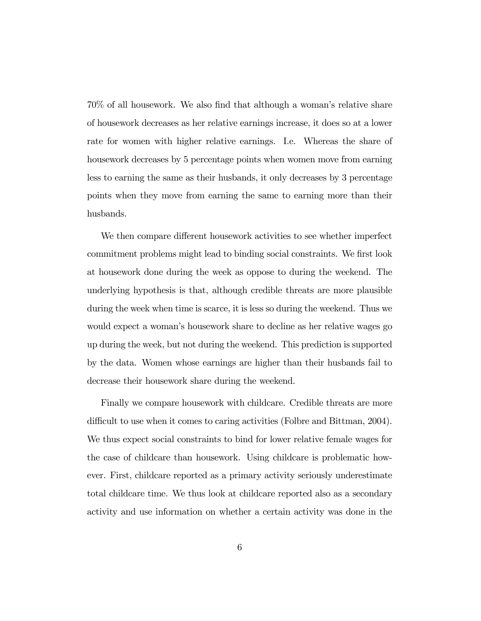70% of all housework. We also find that although a woman's relative share of housework decreases as her relative earnings increase, it does so at a lower rate for women with higher relative earnings. I.e. Whereas the share of housework decreases by 5 percentage points when women move from earning less to earning the same as their husbands, it only decreases by 3 percentage points when they move from earning the same to earning more than their husbands.

We then compare different housework activities to see whether imperfect commitment problems might lead to binding social constraints. We first look at housework done during the week as oppose to during the weekend. The underlying hypothesis is that, although credible threats are more plausible during the week when time is scarce, it is less so during the weekend. Thus we would expect a woman's housework share to decline as her relative wages go up during the week, but not during the weekend. This prediction is supported by the data. Women whose earnings are higher than their husbands fail to decrease their housework share during the weekend.

Finally we compare housework with childcare. Credible threats are more difficult to use when it comes to caring activities (Folbre and Bittman, 2004). We thus expect social constraints to bind for lower relative female wages for the case of childcare than housework. Using childcare is problematic however. First, childcare reported as a primary activity seriously underestimate total childcare time. We thus look at childcare reported also as a secondary activity and use information on whether a certain activity was done in the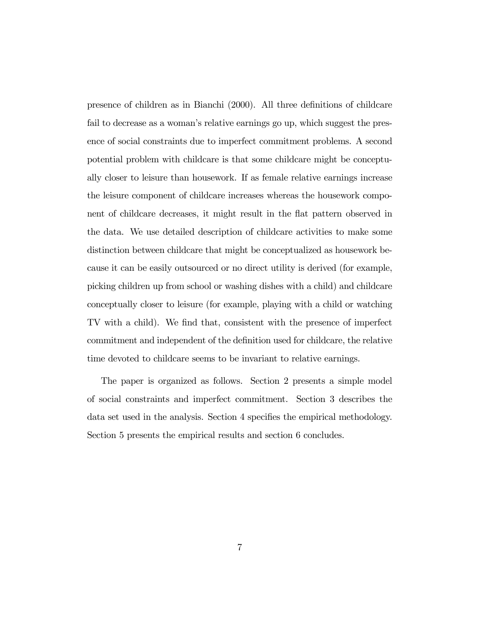presence of children as in Bianchi (2000). All three definitions of childcare fail to decrease as a woman's relative earnings go up, which suggest the presence of social constraints due to imperfect commitment problems. A second potential problem with childcare is that some childcare might be conceptually closer to leisure than housework. If as female relative earnings increase the leisure component of childcare increases whereas the housework component of childcare decreases, it might result in the flat pattern observed in the data. We use detailed description of childcare activities to make some distinction between childcare that might be conceptualized as housework because it can be easily outsourced or no direct utility is derived (for example, picking children up from school or washing dishes with a child) and childcare conceptually closer to leisure (for example, playing with a child or watching TV with a child). We find that, consistent with the presence of imperfect commitment and independent of the definition used for childcare, the relative time devoted to childcare seems to be invariant to relative earnings.

The paper is organized as follows. Section 2 presents a simple model of social constraints and imperfect commitment. Section 3 describes the data set used in the analysis. Section 4 specifies the empirical methodology. Section 5 presents the empirical results and section 6 concludes.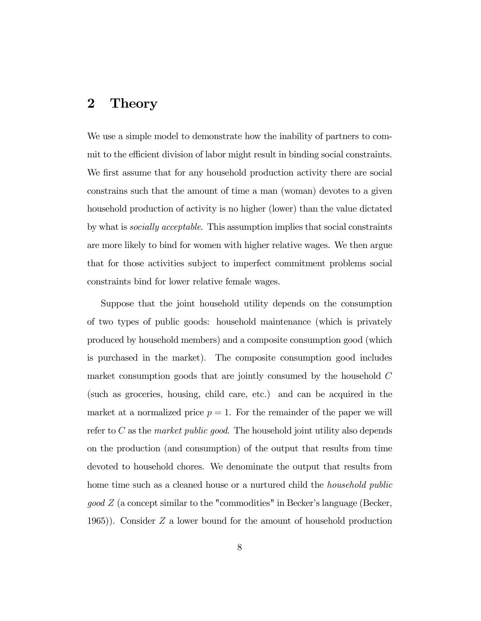## 2 Theory

We use a simple model to demonstrate how the inability of partners to commit to the efficient division of labor might result in binding social constraints. We first assume that for any household production activity there are social constrains such that the amount of time a man (woman) devotes to a given household production of activity is no higher (lower) than the value dictated by what is socially acceptable. This assumption implies that social constraints are more likely to bind for women with higher relative wages. We then argue that for those activities subject to imperfect commitment problems social constraints bind for lower relative female wages.

Suppose that the joint household utility depends on the consumption of two types of public goods: household maintenance (which is privately produced by household members) and a composite consumption good (which is purchased in the market). The composite consumption good includes market consumption goods that are jointly consumed by the household C (such as groceries, housing, child care, etc.) and can be acquired in the market at a normalized price  $p = 1$ . For the remainder of the paper we will refer to  $C$  as the *market public good*. The household joint utility also depends on the production (and consumption) of the output that results from time devoted to household chores. We denominate the output that results from home time such as a cleaned house or a nurtured child the *household public*  $qood\ Z$  (a concept similar to the "commodities" in Becker's language (Becker, 1965)). Consider Z a lower bound for the amount of household production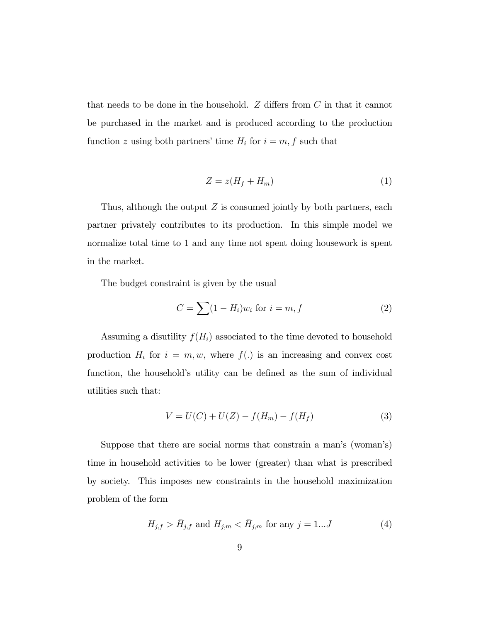that needs to be done in the household.  $Z$  differs from  $C$  in that it cannot be purchased in the market and is produced according to the production function z using both partners' time  $H_i$  for  $i = m, f$  such that

$$
Z = z(H_f + H_m) \tag{1}
$$

Thus, although the output  $Z$  is consumed jointly by both partners, each partner privately contributes to its production. In this simple model we normalize total time to 1 and any time not spent doing housework is spent in the market.

The budget constraint is given by the usual

$$
C = \sum (1 - H_i) w_i \text{ for } i = m, f \tag{2}
$$

Assuming a disutility  $f(H_i)$  associated to the time devoted to household production  $H_i$  for  $i = m, w$ , where  $f(.)$  is an increasing and convex cost function, the household's utility can be defined as the sum of individual utilities such that:

$$
V = U(C) + U(Z) - f(H_m) - f(H_f)
$$
\n(3)

Suppose that there are social norms that constrain a man's (woman's) time in household activities to be lower (greater) than what is prescribed by society. This imposes new constraints in the household maximization problem of the form

$$
H_{j,f} > \bar{H}_{j,f}
$$
 and  $H_{j,m} < \bar{H}_{j,m}$  for any  $j = 1...J$  (4)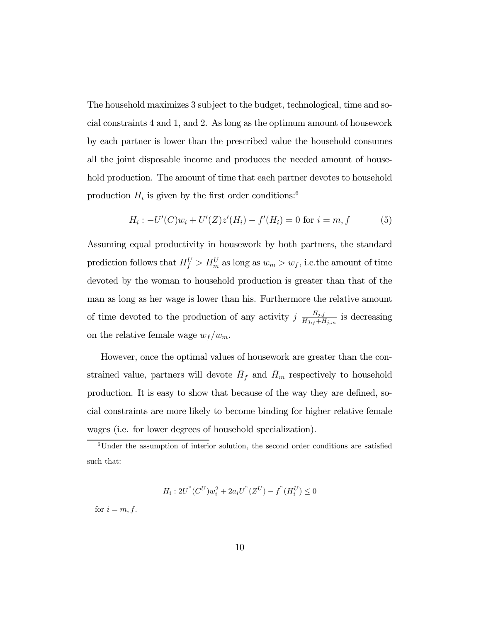The household maximizes 3 subject to the budget, technological, time and social constraints 4 and 1, and 2. As long as the optimum amount of housework by each partner is lower than the prescribed value the household consumes all the joint disposable income and produces the needed amount of household production. The amount of time that each partner devotes to household production  $H_i$  is given by the first order conditions:<sup>6</sup>

$$
H_i: -U'(C)w_i + U'(Z)z'(H_i) - f'(H_i) = 0 \text{ for } i = m, f \tag{5}
$$

Assuming equal productivity in housework by both partners, the standard prediction follows that  $H_f^U > H_m^U$  as long as  $w_m > w_f$ , i.e. the amount of time devoted by the woman to household production is greater than that of the man as long as her wage is lower than his. Furthermore the relative amount of time devoted to the production of any activity  $j \frac{H_{j,f}}{H_{j,f} + H_{j,m}}$  is decreasing on the relative female wage  $w_f/w_m$ .

However, once the optimal values of housework are greater than the constrained value, partners will devote  $\bar{H}_f$  and  $\bar{H}_m$  respectively to household production. It is easy to show that because of the way they are defined, social constraints are more likely to become binding for higher relative female wages (i.e. for lower degrees of household specialization).

$$
H_i: 2U^{"}(C^U)w_i^2 + 2a_iU^{"}(Z^U) - f^{"}(H_i^U) \leq 0
$$

for  $i = m, f$ .

<sup>&</sup>lt;sup>6</sup>Under the assumption of interior solution, the second order conditions are satisfied such that: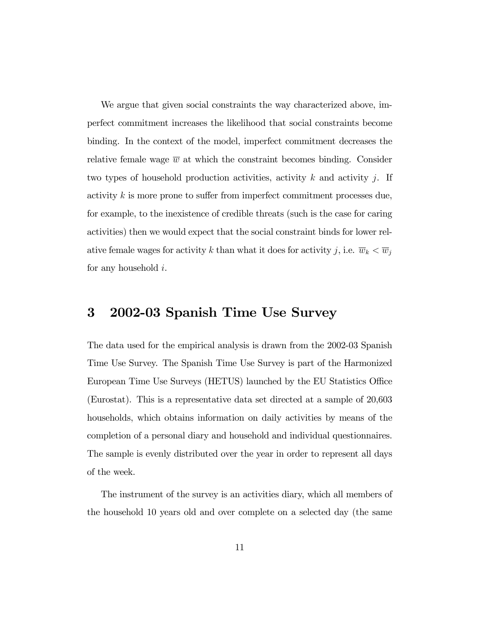We argue that given social constraints the way characterized above, imperfect commitment increases the likelihood that social constraints become binding. In the context of the model, imperfect commitment decreases the relative female wage  $\overline{w}$  at which the constraint becomes binding. Consider two types of household production activities, activity  $k$  and activity  $j$ . If activity k is more prone to suffer from imperfect commitment processes due, for example, to the inexistence of credible threats (such is the case for caring activities) then we would expect that the social constraint binds for lower relative female wages for activity k than what it does for activity j, i.e.  $\overline{w}_k < \overline{w}_j$ for any household i.

# 3 2002-03 Spanish Time Use Survey

The data used for the empirical analysis is drawn from the 2002-03 Spanish Time Use Survey. The Spanish Time Use Survey is part of the Harmonized European Time Use Surveys (HETUS) launched by the EU Statistics Office (Eurostat). This is a representative data set directed at a sample of 20,603 households, which obtains information on daily activities by means of the completion of a personal diary and household and individual questionnaires. The sample is evenly distributed over the year in order to represent all days of the week.

The instrument of the survey is an activities diary, which all members of the household 10 years old and over complete on a selected day (the same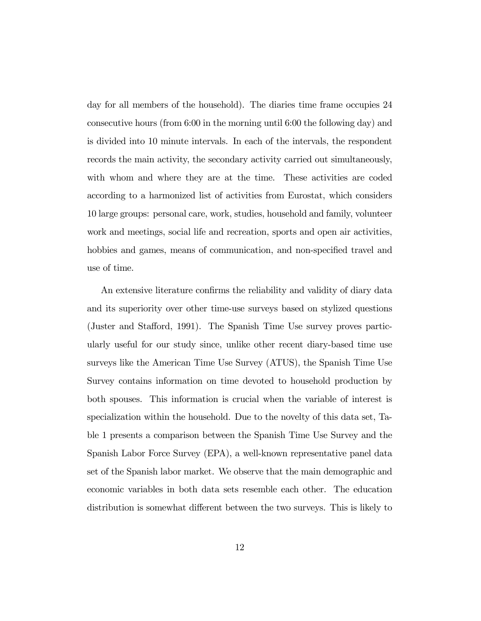day for all members of the household). The diaries time frame occupies 24 consecutive hours (from 6:00 in the morning until 6:00 the following day) and is divided into 10 minute intervals. In each of the intervals, the respondent records the main activity, the secondary activity carried out simultaneously, with whom and where they are at the time. These activities are coded according to a harmonized list of activities from Eurostat, which considers 10 large groups: personal care, work, studies, household and family, volunteer work and meetings, social life and recreation, sports and open air activities, hobbies and games, means of communication, and non-specified travel and use of time.

An extensive literature confirms the reliability and validity of diary data and its superiority over other time-use surveys based on stylized questions (Juster and Stafford, 1991). The Spanish Time Use survey proves particularly useful for our study since, unlike other recent diary-based time use surveys like the American Time Use Survey (ATUS), the Spanish Time Use Survey contains information on time devoted to household production by both spouses. This information is crucial when the variable of interest is specialization within the household. Due to the novelty of this data set, Table 1 presents a comparison between the Spanish Time Use Survey and the Spanish Labor Force Survey (EPA), a well-known representative panel data set of the Spanish labor market. We observe that the main demographic and economic variables in both data sets resemble each other. The education distribution is somewhat different between the two surveys. This is likely to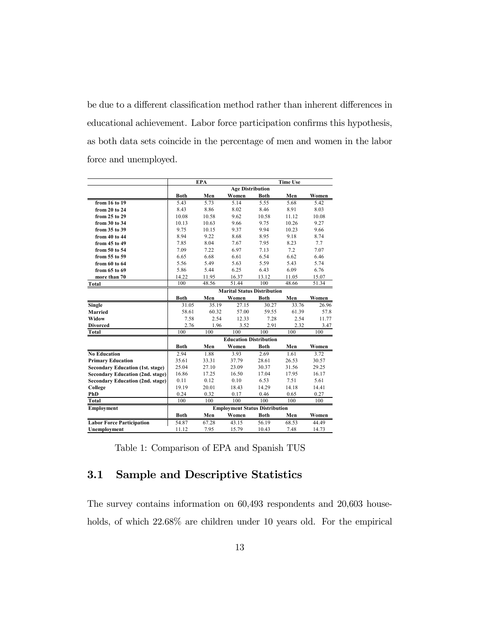be due to a different classification method rather than inherent differences in educational achievement. Labor force participation confirms this hypothesis, as both data sets coincide in the percentage of men and women in the labor force and unemployed.

|                                         | <b>EPA</b><br><b>Time Use</b> |       |                                       |             |       |       |
|-----------------------------------------|-------------------------------|-------|---------------------------------------|-------------|-------|-------|
|                                         | <b>Age Distribution</b>       |       |                                       |             |       |       |
|                                         | <b>Both</b>                   | Men   | Women                                 | Both        | Men   | Women |
| from 16 to 19                           | 5.43                          | 5.73  | 5.14                                  | 5.55        | 5.68  | 5.42  |
| from 20 to 24                           | 8.43                          | 8.86  | 8.02                                  | 8.46        | 8.91  | 8.03  |
| from 25 to 29                           | 10.08                         | 10.58 | 9.62                                  | 10.58       | 11.12 | 10.08 |
| from 30 to 34                           | 10.13                         | 10.63 | 9.66                                  | 9.75        | 10.26 | 9.27  |
| from 35 to 39                           | 9.75                          | 10.15 | 9.37                                  | 9.94        | 10.23 | 9.66  |
| from 40 to 44                           | 8.94                          | 9.22  | 8.68                                  | 8.95        | 9.18  | 8.74  |
| from 45 to 49                           | 7.85                          | 8.04  | 7.67                                  | 7.95        | 8.23  | 7.7   |
| from 50 to 54                           | 7.09                          | 7.22  | 6.97                                  | 7.13        | 7.2   | 7.07  |
| from 55 to 59                           | 6.65                          | 6.68  | 6.61                                  | 6.54        | 6.62  | 6.46  |
| from 60 to 64                           | 5.56                          | 5.49  | 5.63                                  | 5.59        | 5.43  | 5.74  |
| from 65 to 69                           | 5.86                          | 5.44  | 6.25                                  | 6.43        | 6.09  | 6.76  |
| more than 70                            | 14.22                         | 11.95 | 16.37                                 | 13.12       | 11.05 | 15.07 |
| <b>Total</b>                            | 100                           | 48.56 | 51.44                                 | 100         | 48.66 | 51.34 |
|                                         |                               |       | <b>Marital Status Distribution</b>    |             |       |       |
|                                         | <b>Both</b>                   | Men   | Women                                 | <b>Both</b> | Men   | Women |
| Single                                  | 31.05                         | 35.19 | 27.15                                 | 30.27       | 33.76 | 26.96 |
| <b>Married</b>                          | 58.61                         | 60.32 | 57.00                                 | 59.55       | 61.39 | 57.8  |
| Widow                                   | 7.58                          | 2.54  | 12.33                                 | 7.28        | 2.54  | 11.77 |
| <b>Divorced</b>                         | 2.76                          | 1.96  | 3.52                                  | 2.91        | 2.32  | 3.47  |
| <b>Total</b>                            | 100                           | 100   | 100                                   | 100         | 100   | 100   |
|                                         |                               |       | <b>Education Distribution</b>         |             |       |       |
|                                         | <b>Both</b>                   | Men   | Women                                 | <b>Both</b> | Men   | Women |
| <b>No Education</b>                     | 2.94                          | 1.88  | 3.93                                  | 2.69        | 1.61  | 3.72  |
| <b>Primary Education</b>                | 35.61                         | 33.31 | 37.79                                 | 28.61       | 26.53 | 30.57 |
| <b>Secondary Education (1st. stage)</b> | 25.04                         | 27.10 | 23.09                                 | 30.37       | 31.56 | 29.25 |
| <b>Secondary Education (2nd. stage)</b> | 16.86                         | 17.25 | 16.50                                 | 17.04       | 17.95 | 16.17 |
| <b>Secondary Education (2nd. stage)</b> | 0.11                          | 0.12  | 0.10                                  | 6.53        | 7.51  | 5.61  |
| College                                 | 19.19                         | 20.01 | 18.43                                 | 14.29       | 14.18 | 14.41 |
| PhD                                     | 0.24                          | 0.32  | 0.17                                  | 0.46        | 0.65  | 0.27  |
| Total                                   | 100                           | 100   | 100                                   | 100         | 100   | 100   |
| <b>Employment</b>                       |                               |       | <b>Employment Status Distribution</b> |             |       |       |
|                                         | Both                          | Men   | Women                                 | Both        | Men   | Women |
| <b>Labor Force Participation</b>        | 54.87                         | 67.28 | 43.15                                 | 56.19       | 68.53 | 44.49 |
| Unemployment                            | 11.12                         | 7.95  | 15.79                                 | 10.43       | 7.48  | 14.73 |

Table 1: Comparison of EPA and Spanish TUS

### 3.1 Sample and Descriptive Statistics

The survey contains information on 60,493 respondents and 20,603 households, of which  $22.68\%$  are children under 10 years old. For the empirical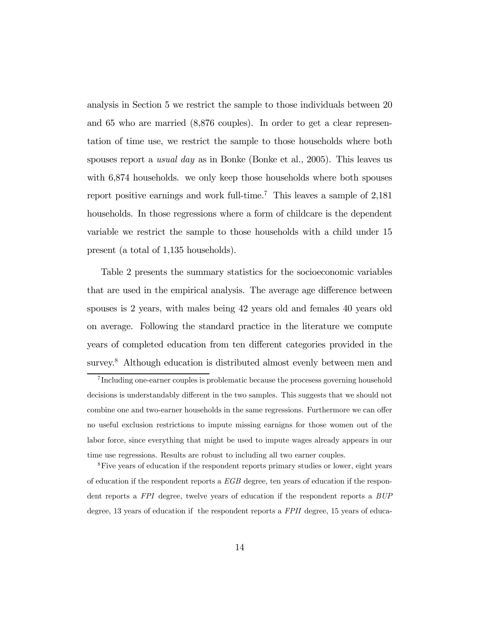analysis in Section 5 we restrict the sample to those individuals between 20 and 65 who are married (8,876 couples). In order to get a clear representation of time use, we restrict the sample to those households where both spouses report a *usual day* as in Bonke (Bonke et al., 2005). This leaves us with 6,874 households. we only keep those households where both spouses report positive earnings and work full-time.<sup>7</sup> This leaves a sample of  $2,181$ households. In those regressions where a form of childcare is the dependent variable we restrict the sample to those households with a child under 15 present (a total of 1,135 households).

Table 2 presents the summary statistics for the socioeconomic variables that are used in the empirical analysis. The average age difference between spouses is 2 years, with males being 42 years old and females 40 years old on average. Following the standard practice in the literature we compute years of completed education from ten different categories provided in the survey.<sup>8</sup> Although education is distributed almost evenly between men and

8Five years of education if the respondent reports primary studies or lower, eight years of education if the respondent reports a EGB degree, ten years of education if the respondent reports a FPI degree, twelve years of education if the respondent reports a BUP degree, 13 years of education if the respondent reports a FPII degree, 15 years of educa-

<sup>7</sup> Including one-earner couples is problematic because the procesess governing household decisions is understandably different in the two samples. This suggests that we should not combine one and two-earner households in the same regressions. Furthermore we can offer no useful exclusion restrictions to impute missing earnigns for those women out of the labor force, since everything that might be used to impute wages already appears in our time use regressions. Results are robust to including all two earner couples.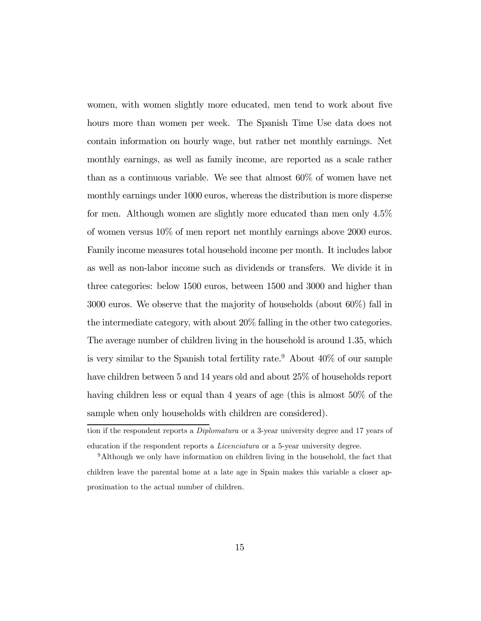women, with women slightly more educated, men tend to work about five hours more than women per week. The Spanish Time Use data does not contain information on hourly wage, but rather net monthly earnings. Net monthly earnings, as well as family income, are reported as a scale rather than as a continuous variable. We see that almost 60% of women have net monthly earnings under 1000 euros, whereas the distribution is more disperse for men. Although women are slightly more educated than men only 4.5% of women versus 10% of men report net monthly earnings above 2000 euros. Family income measures total household income per month. It includes labor as well as non-labor income such as dividends or transfers. We divide it in three categories: below 1500 euros, between 1500 and 3000 and higher than 3000 euros. We observe that the majority of households (about 60%) fall in the intermediate category, with about 20% falling in the other two categories. The average number of children living in the household is around 1.35, which is very similar to the Spanish total fertility rate.<sup>9</sup> About  $40\%$  of our sample have children between 5 and 14 years old and about 25% of households report having children less or equal than 4 years of age (this is almost  $50\%$  of the sample when only households with children are considered).

tion if the respondent reports a Diplomatura or a 3-year university degree and 17 years of education if the respondent reports a Licenciatura or a 5-year university degree.

<sup>9</sup>Although we only have information on children living in the household, the fact that children leave the parental home at a late age in Spain makes this variable a closer approximation to the actual number of children.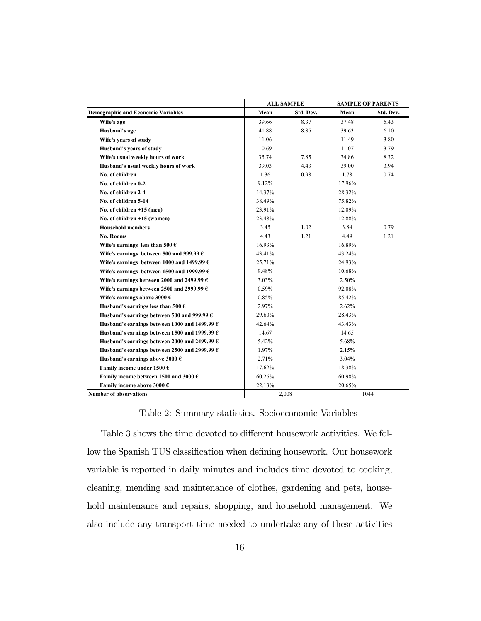|                                                        |        | <b>ALL SAMPLE</b> |        | <b>SAMPLE OF PARENTS</b> |
|--------------------------------------------------------|--------|-------------------|--------|--------------------------|
| <b>Demographic and Economic Variables</b>              | Mean   | Std. Dev.         | Mean   | Std. Dev.                |
| Wife's age                                             | 39.66  | 8.37              | 37.48  | 5.43                     |
| Husband's age                                          | 41.88  | 8.85              | 39.63  | 6.10                     |
| Wife's years of study                                  | 11.06  |                   | 11.49  | 3.80                     |
| Husband's years of study                               | 10.69  |                   | 11.07  | 3.79                     |
| Wife's usual weekly hours of work                      | 35.74  | 7.85              | 34.86  | 8.32                     |
| Husband's usual weekly hours of work                   | 39.03  | 4.43              | 39.00  | 3.94                     |
| No. of children                                        | 1.36   | 0.98              | 1.78   | 0.74                     |
| No. of children 0-2                                    | 9.12%  |                   | 17.96% |                          |
| No. of children 2-4                                    | 14.37% |                   | 28.32% |                          |
| No. of children 5-14                                   | 38.49% |                   | 75.82% |                          |
| No. of children $+15$ (men)                            | 23.91% |                   | 12.09% |                          |
| No. of children +15 (women)                            | 23.48% |                   | 12.88% |                          |
| <b>Household members</b>                               | 3.45   | 1.02              | 3.84   | 0.79                     |
| No. Rooms                                              | 4.43   | 1.21              | 4.49   | 1.21                     |
| Wife's earnings less than 500 $\epsilon$               | 16.93% |                   | 16.89% |                          |
| Wife's earnings between 500 and 999.99 $\epsilon$      | 43.41% |                   | 43.24% |                          |
| Wife's earnings between 1000 and 1499.99 $\epsilon$    | 25.71% |                   | 24.93% |                          |
| Wife's earnings between 1500 and 1999.99 $\epsilon$    | 9.48%  |                   | 10.68% |                          |
| Wife's earnings between 2000 and 2499.99 $\epsilon$    | 3.03%  |                   | 2.50%  |                          |
| Wife's earnings between 2500 and 2999.99 $\epsilon$    | 0.59%  |                   | 92.08% |                          |
| Wife's earnings above 3000 $\epsilon$                  | 0.85%  |                   | 85.42% |                          |
| Husband's earnings less than 500 $\epsilon$            | 2.97%  |                   | 2.62%  |                          |
| Husband's earnings between 500 and 999.99 $\epsilon$   | 29.60% |                   | 28.43% |                          |
| Husband's earnings between 1000 and 1499.99 $\epsilon$ | 42.64% |                   | 43.43% |                          |
| Husband's earnings between 1500 and 1999.99 $\epsilon$ | 14.67  |                   | 14.65  |                          |
| Husband's earnings between 2000 and 2499.99 $\epsilon$ | 5.42%  |                   | 5.68%  |                          |
| Husband's earnings between 2500 and 2999.99 $\epsilon$ | 1.97%  |                   | 2.15%  |                          |
| Husband's earnings above 3000 $\epsilon$               | 2.71%  |                   | 3.04%  |                          |
| Family income under 1500 $\epsilon$                    | 17.62% |                   | 18.38% |                          |
| Family income between 1500 and 3000 $\epsilon$         | 60.26% |                   | 60.98% |                          |
| Family income above 3000 $\epsilon$                    | 22.13% |                   | 20.65% |                          |
| <b>Number of observations</b>                          |        | 2,008             |        | 1044                     |

### Table 2: Summary statistics. Socioeconomic Variables

Table 3 shows the time devoted to different housework activities. We follow the Spanish TUS classification when defining housework. Our housework variable is reported in daily minutes and includes time devoted to cooking, cleaning, mending and maintenance of clothes, gardening and pets, household maintenance and repairs, shopping, and household management. We also include any transport time needed to undertake any of these activities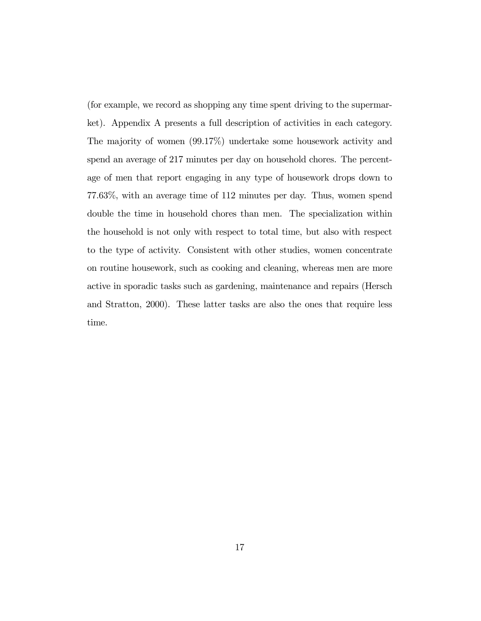(for example, we record as shopping any time spent driving to the supermarket). Appendix A presents a full description of activities in each category. The majority of women (99.17%) undertake some housework activity and spend an average of 217 minutes per day on household chores. The percentage of men that report engaging in any type of housework drops down to 77.63%, with an average time of 112 minutes per day. Thus, women spend double the time in household chores than men. The specialization within the household is not only with respect to total time, but also with respect to the type of activity. Consistent with other studies, women concentrate on routine housework, such as cooking and cleaning, whereas men are more active in sporadic tasks such as gardening, maintenance and repairs (Hersch and Stratton, 2000). These latter tasks are also the ones that require less time.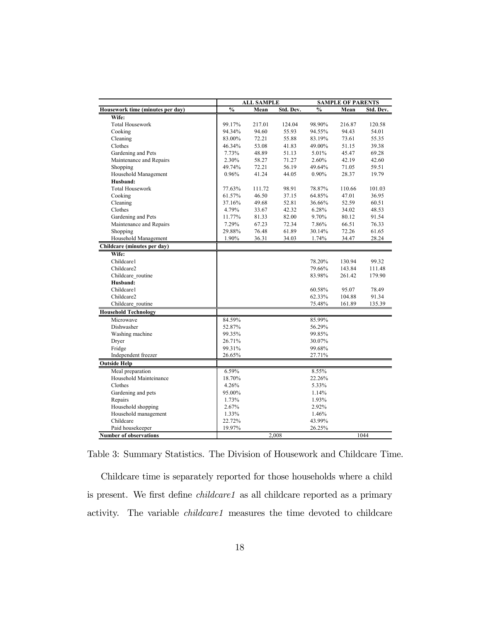|                                  |               | <b>ALL SAMPLE</b> |           |               | <b>SAMPLE OF PARENTS</b> |           |  |
|----------------------------------|---------------|-------------------|-----------|---------------|--------------------------|-----------|--|
| Housework time (minutes per day) | $\frac{0}{0}$ | Mean              | Std. Dev. | $\frac{0}{0}$ | Mean                     | Std. Dev. |  |
| Wife:                            |               |                   |           |               |                          |           |  |
| <b>Total Housework</b>           | 99.17%        | 217.01            | 124.04    | 98.90%        | 216.87                   | 120.58    |  |
| Cooking                          | 94.34%        | 94.60             | 55.93     | 94.55%        | 94.43                    | 54.01     |  |
| Cleaning                         | 83.00%        | 72.21             | 55.88     | 83.19%        | 73.61                    | 55.35     |  |
| Clothes                          | 46.34%        | 53.08             | 41.83     | 49.00%        | 51.15                    | 39.38     |  |
| Gardening and Pets               | 7.73%         | 48.89             | 51.13     | 5.01%         | 45.47                    | 69.28     |  |
| Maintenance and Repairs          | 2.30%         | 58.27             | 71.27     | 2.60%         | 42.19                    | 42.60     |  |
| Shopping                         | 49.74%        | 72.21             | 56.19     | 49.64%        | 71.05                    | 59.51     |  |
| Household Management             | 0.96%         | 41.24             | 44.05     | 0.90%         | 28.37                    | 19.79     |  |
| Husband:                         |               |                   |           |               |                          |           |  |
| <b>Total Housework</b>           | 77.63%        | 111.72            | 98.91     | 78.87%        | 110.66                   | 101.03    |  |
| Cooking                          | 61.57%        | 46.50             | 37.15     | 64.85%        | 47.01                    | 36.95     |  |
| Cleaning                         | 37.16%        | 49.68             | 52.81     | 36.66%        | 52.59                    | 60.51     |  |
| Clothes                          | 4.79%         | 33.67             | 42.32     | 6.28%         | 34.02                    | 48.53     |  |
| Gardening and Pets               | 11.77%        | 81.33             | 82.00     | 9.70%         | 80.12                    | 91.54     |  |
| Maintenance and Repairs          | 7.29%         | 67.23             | 72.34     | 7.86%         | 66.51                    | 76.33     |  |
| Shopping                         | 29.88%        | 76.48             | 61.89     | 30.14%        | 72.26                    | 61.65     |  |
| Household Management             | 1.90%         | 36.31             | 34.03     | 1.74%         | 34.47                    | 28.24     |  |
| Childcare (minutes per day)      |               |                   |           |               |                          |           |  |
| Wife:                            |               |                   |           |               |                          |           |  |
| Childcare1                       |               |                   |           | 78.20%        | 130.94                   | 99.32     |  |
| Childcare2                       |               |                   |           | 79.66%        | 143.84                   | 111.48    |  |
| Childcare routine                |               |                   |           | 83.98%        | 261.42                   | 179.90    |  |
| Husband:                         |               |                   |           |               |                          |           |  |
| Childcare1                       |               |                   |           | 60.58%        | 95.07                    | 78.49     |  |
| Childcare2                       |               |                   |           | 62.33%        | 104.88                   | 91.34     |  |
| Childcare routine                |               |                   |           | 75.48%        | 161.89                   | 135.39    |  |
| <b>Household Technology</b>      |               |                   |           |               |                          |           |  |
| Microwave                        | 84.59%        |                   |           | 85.99%        |                          |           |  |
| Dishwasher                       | 52.87%        |                   |           | 56.29%        |                          |           |  |
| Washing machine                  | 99.35%        |                   |           | 99.85%        |                          |           |  |
| Dryer                            | 26.71%        |                   |           | 30.07%        |                          |           |  |
| Fridge                           | 99.31%        |                   |           | 99.68%        |                          |           |  |
| Independent freezer              | 26.65%        |                   |           | 27.71%        |                          |           |  |
| <b>Outside Help</b>              |               |                   |           |               |                          |           |  |
| Meal preparation                 | 6.59%         |                   |           | 8.55%         |                          |           |  |
| Household Mainteinance           | 18.70%        |                   |           | 22.26%        |                          |           |  |
| Clothes                          | 4.26%         |                   |           | 5.33%         |                          |           |  |
| Gardening and pets               | 95.00%        |                   |           | 1.14%         |                          |           |  |
| Repairs                          | 1.73%         |                   |           | 1.93%         |                          |           |  |
| Household shopping               | 2.67%         |                   |           | 2.92%         |                          |           |  |
| Household management             | 1.33%         |                   |           | 1.46%         |                          |           |  |
| Childcare                        | 22.72%        |                   |           | 43.99%        |                          |           |  |
| Paid housekeeper                 | 19.97%        |                   |           | 26.25%        |                          |           |  |
| <b>Number of observations</b>    |               |                   | 2,008     |               |                          | 1044      |  |

Table 3: Summary Statistics. The Division of Housework and Childcare Time.

Childcare time is separately reported for those households where a child is present. We first define *childcare1* as all childcare reported as a primary activity. The variable childcare1 measures the time devoted to childcare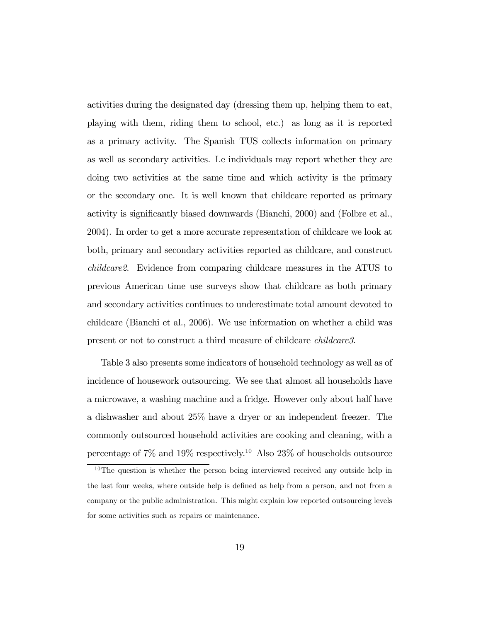activities during the designated day (dressing them up, helping them to eat, playing with them, riding them to school, etc.) as long as it is reported as a primary activity. The Spanish TUS collects information on primary as well as secondary activities. I.e individuals may report whether they are doing two activities at the same time and which activity is the primary or the secondary one. It is well known that childcare reported as primary activity is significantly biased downwards (Bianchi, 2000) and (Folbre et al., 2004). In order to get a more accurate representation of childcare we look at both, primary and secondary activities reported as childcare, and construct childcare2. Evidence from comparing childcare measures in the ATUS to previous American time use surveys show that childcare as both primary and secondary activities continues to underestimate total amount devoted to childcare (Bianchi et al., 2006). We use information on whether a child was present or not to construct a third measure of childcare childcare3.

Table 3 also presents some indicators of household technology as well as of incidence of housework outsourcing. We see that almost all households have a microwave, a washing machine and a fridge. However only about half have a dishwasher and about 25% have a dryer or an independent freezer. The commonly outsourced household activities are cooking and cleaning, with a percentage of  $7\%$  and  $19\%$  respectively.<sup>10</sup> Also  $23\%$  of households outsource

<sup>&</sup>lt;sup>10</sup>The question is whether the person being interviewed received any outside help in the last four weeks, where outside help is defined as help from a person, and not from a company or the public administration. This might explain low reported outsourcing levels for some activities such as repairs or maintenance.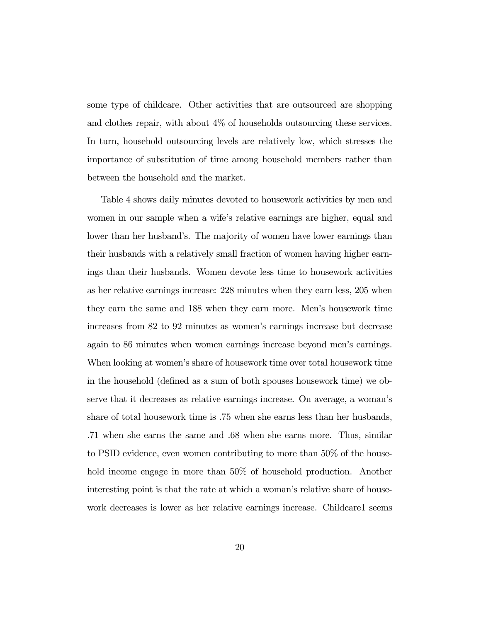some type of childcare. Other activities that are outsourced are shopping and clothes repair, with about 4% of households outsourcing these services. In turn, household outsourcing levels are relatively low, which stresses the importance of substitution of time among household members rather than between the household and the market.

Table 4 shows daily minutes devoted to housework activities by men and women in our sample when a wife's relative earnings are higher, equal and lower than her husband's. The majority of women have lower earnings than their husbands with a relatively small fraction of women having higher earnings than their husbands. Women devote less time to housework activities as her relative earnings increase: 228 minutes when they earn less, 205 when they earn the same and 188 when they earn more. Men's housework time increases from 82 to 92 minutes as women's earnings increase but decrease again to 86 minutes when women earnings increase beyond men's earnings. When looking at women's share of housework time over total housework time in the household (defined as a sum of both spouses housework time) we observe that it decreases as relative earnings increase. On average, a woman's share of total housework time is .75 when she earns less than her husbands, .71 when she earns the same and .68 when she earns more. Thus, similar to PSID evidence, even women contributing to more than 50% of the household income engage in more than  $50\%$  of household production. Another interesting point is that the rate at which a woman's relative share of housework decreases is lower as her relative earnings increase. Childcare1 seems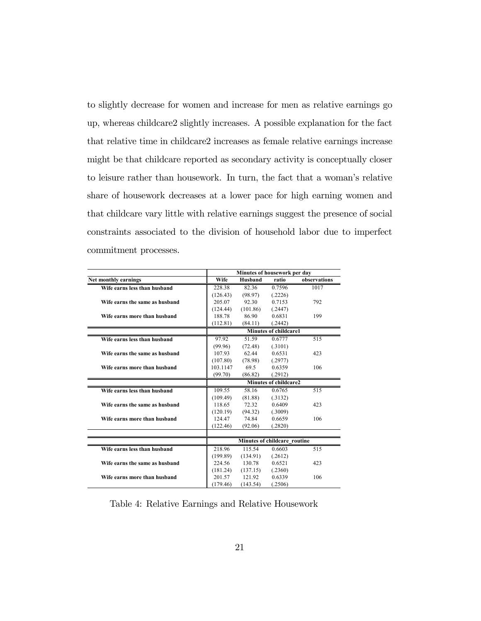to slightly decrease for women and increase for men as relative earnings go up, whereas childcare2 slightly increases. A possible explanation for the fact that relative time in childcare2 increases as female relative earnings increase might be that childcare reported as secondary activity is conceptually closer to leisure rather than housework. In turn, the fact that a woman's relative share of housework decreases at a lower pace for high earning women and that childcare vary little with relative earnings suggest the presence of social constraints associated to the division of household labor due to imperfect commitment processes.

|                                | Minutes of housework per day             |                              |                       |      |  |
|--------------------------------|------------------------------------------|------------------------------|-----------------------|------|--|
| Net monthly earnings           | observations<br>Wife<br>Husband<br>ratio |                              |                       |      |  |
| Wife earns less than husband   | 228.38                                   | 82.36                        | 0.7596                | 1017 |  |
|                                | (126.43)                                 | (98.97)                      | (.2226)               |      |  |
| Wife earns the same as husband | 205.07                                   | 92.30                        | 0.7153                | 792  |  |
|                                | (124.44)                                 | (101.86)                     | (.2447)               |      |  |
| Wife earns more than husband   | 188.78                                   | 86.90                        | 0.6831                | 199  |  |
|                                | (112.81)                                 | (84.11)                      | (.2442)               |      |  |
|                                |                                          |                              | Minutes of childcare1 |      |  |
| Wife earns less than husband   | 97.92                                    | 51.59                        | 0.6777                | 515  |  |
|                                | (99.96)                                  | (72.48)                      | (.3101)               |      |  |
| Wife earns the same as husband | 107.93                                   | 62.44                        | 0.6531                | 423  |  |
|                                | (107.80)                                 | (78.98)                      | (.2977)               |      |  |
| Wife earns more than husband   | 103.1147                                 | 69.5                         | 0.6359                | 106  |  |
|                                | (99.70)                                  | (86.82)                      | (.2912)               |      |  |
|                                | <b>Minutes of childcare2</b>             |                              |                       |      |  |
| Wife earns less than husband   | 109.55                                   | 58.16                        | 0.6765                | 515  |  |
|                                | (109.49)                                 | (81.88)                      | (.3132)               |      |  |
| Wife earns the same as husband | 118.65                                   | 72.32                        | 0.6409                | 423  |  |
|                                | (120.19)                                 | (94.32)                      | (.3009)               |      |  |
| Wife earns more than husband   | 124.47                                   | 74.84                        | 0.6659                | 106  |  |
|                                | (122.46)                                 | (92.06)                      | (.2820)               |      |  |
|                                |                                          |                              |                       |      |  |
|                                |                                          | Minutes of childcare routine |                       |      |  |
| Wife earns less than husband   | 218.96                                   | 115.54                       | 0.6603                | 515  |  |
|                                | (199.89)                                 | (134.91)                     | (.2612)               |      |  |
| Wife earns the same as husband | 224.56                                   | 130.78                       | 0.6521                | 423  |  |
|                                | (181.24)                                 | (137.15)                     | (.2360)               |      |  |
| Wife earns more than husband   | 201.57                                   | 121.92                       | 0.6339                | 106  |  |
|                                | (179.46)                                 | (143.54)                     | (.2506)               |      |  |

Table 4: Relative Earnings and Relative Housework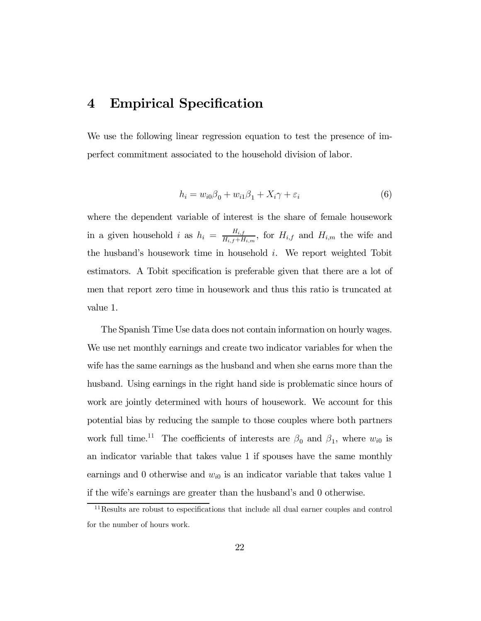# 4 Empirical Specification

We use the following linear regression equation to test the presence of imperfect commitment associated to the household division of labor.

$$
h_i = w_{i0}\beta_0 + w_{i1}\beta_1 + X_i\gamma + \varepsilon_i \tag{6}
$$

where the dependent variable of interest is the share of female housework in a given household i as  $h_i = \frac{H_{i,f}}{H_{i,f} + H_{i,m}}$ , for  $H_{i,f}$  and  $H_{i,m}$  the wife and the husband's housework time in household  $i$ . We report weighted Tobit estimators. A Tobit specification is preferable given that there are a lot of men that report zero time in housework and thus this ratio is truncated at value 1.

The Spanish Time Use data does not contain information on hourly wages. We use net monthly earnings and create two indicator variables for when the wife has the same earnings as the husband and when she earns more than the husband. Using earnings in the right hand side is problematic since hours of work are jointly determined with hours of housework. We account for this potential bias by reducing the sample to those couples where both partners work full time.<sup>11</sup> The coefficients of interests are  $\beta_0$  and  $\beta_1$ , where  $w_{i0}$  is an indicator variable that takes value 1 if spouses have the same monthly earnings and 0 otherwise and  $w_{i0}$  is an indicator variable that takes value 1 if the wife's earnings are greater than the husband's and 0 otherwise.

<sup>&</sup>lt;sup>11</sup>Results are robust to especifications that include all dual earner couples and control for the number of hours work.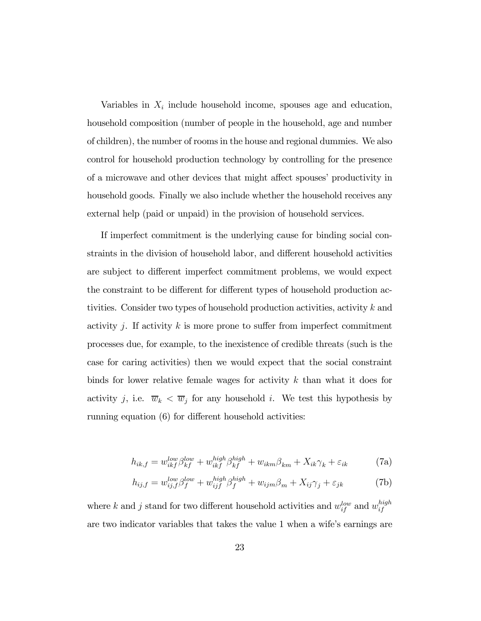Variables in  $X_i$  include household income, spouses age and education, household composition (number of people in the household, age and number of children), the number of rooms in the house and regional dummies. We also control for household production technology by controlling for the presence of a microwave and other devices that might affect spouses' productivity in household goods. Finally we also include whether the household receives any external help (paid or unpaid) in the provision of household services.

If imperfect commitment is the underlying cause for binding social constraints in the division of household labor, and different household activities are subject to different imperfect commitment problems, we would expect the constraint to be different for different types of household production activities. Consider two types of household production activities, activity k and activity j. If activity  $k$  is more prone to suffer from imperfect commitment processes due, for example, to the inexistence of credible threats (such is the case for caring activities) then we would expect that the social constraint binds for lower relative female wages for activity  $k$  than what it does for activity j, i.e.  $\overline{w}_k < \overline{w}_j$  for any household i. We test this hypothesis by running equation (6) for different household activities:

$$
h_{ik,f} = w_{ikf}^{low} \beta_{kf}^{low} + w_{ikf}^{high} \beta_{kf}^{high} + w_{ikm} \beta_{km} + X_{ik} \gamma_k + \varepsilon_{ik}
$$
 (7a)

$$
h_{ij,f} = w_{ij,f}^{low} \beta_f^{low} + w_{ijf}^{high} \beta_f^{high} + w_{ijm} \beta_m + X_{ij} \gamma_j + \varepsilon_{jk}
$$
 (7b)

where k and j stand for two different household activities and  $w_{if}^{low}$  and  $w_{if}^{high}$ are two indicator variables that takes the value 1 when a wife's earnings are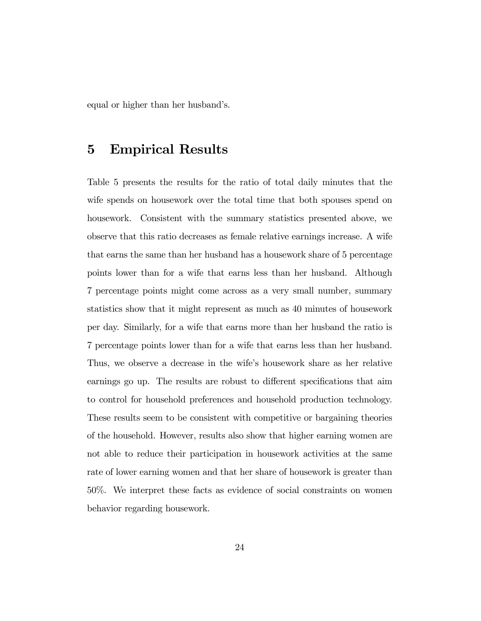equal or higher than her husband's.

### 5 Empirical Results

Table 5 presents the results for the ratio of total daily minutes that the wife spends on housework over the total time that both spouses spend on housework. Consistent with the summary statistics presented above, we observe that this ratio decreases as female relative earnings increase. A wife that earns the same than her husband has a housework share of 5 percentage points lower than for a wife that earns less than her husband. Although 7 percentage points might come across as a very small number, summary statistics show that it might represent as much as 40 minutes of housework per day. Similarly, for a wife that earns more than her husband the ratio is 7 percentage points lower than for a wife that earns less than her husband. Thus, we observe a decrease in the wife's housework share as her relative earnings go up. The results are robust to different specifications that aim to control for household preferences and household production technology. These results seem to be consistent with competitive or bargaining theories of the household. However, results also show that higher earning women are not able to reduce their participation in housework activities at the same rate of lower earning women and that her share of housework is greater than 50%. We interpret these facts as evidence of social constraints on women behavior regarding housework.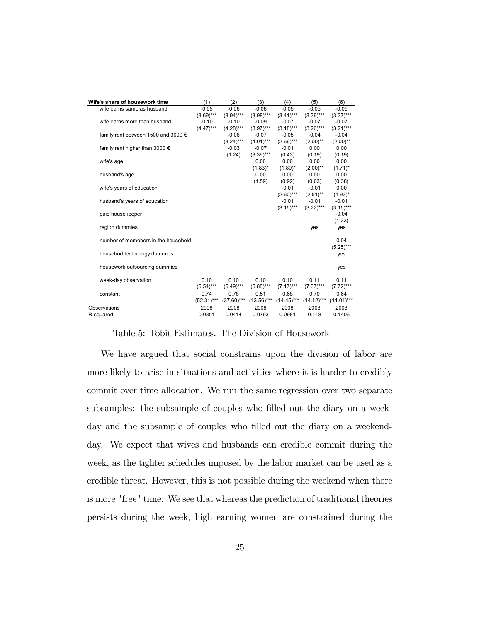| Wife's share of housework time          | (1)          | (2)          | (3)           | (4)          | (5)          | (6)          |
|-----------------------------------------|--------------|--------------|---------------|--------------|--------------|--------------|
| wife earns same as husband              | $-0.05$      | $-0.06$      | $-0.06$       | $-0.05$      | $-0.05$      | $-0.05$      |
|                                         | $(3.69)$ *** | $(3.94)***$  | $(3.98)***$   | $(3.41)***$  | $(3.39)***$  | $(3.37)***$  |
| wife earns more than husband            | $-0.10$      | $-0.10$      | $-0.09$       | $-0.07$      | $-0.07$      | $-0.07$      |
|                                         | $(4.47)$ *** | $(4.28)***$  | $(3.97)$ ***  | $(3.18)***$  | $(3.26)***$  | $(3.21)***$  |
| family rent between 1500 and 3000 $\in$ |              | $-0.06$      | $-0.07$       | $-0.05$      | $-0.04$      | $-0.04$      |
|                                         |              | $(3.24)***$  | $(4.01***$    | $(2.66)***$  | $(2.00)$ **  | $(2.00)$ **  |
| family rent higher than 3000 $\epsilon$ |              | $-0.03$      | $-0.07$       | $-0.01$      | 0.00         | 0.00         |
|                                         |              | (1.24)       | $(3.39)$ ***  | (0.43)       | (0.19)       | (0.19)       |
| wife's age                              |              |              | 0.00          | 0.00         | 0.00         | 0.00         |
|                                         |              |              | $(1.83)^*$    | $(1.80)^*$   | $(2.00)$ **  | $(1.71)^*$   |
| husband's age                           |              |              | 0.00          | 0.00         | 0.00         | 0.00         |
|                                         |              |              | (1.59)        | (0.92)       | (0.63)       | (0.38)       |
| wife's years of education               |              |              |               | $-0.01$      | $-0.01$      | 0.00         |
|                                         |              |              |               | $(2.60)$ *** | $(2.51)$ **  | $(1.93)^*$   |
| husband's years of education            |              |              |               | $-0.01$      | $-0.01$      | $-0.01$      |
|                                         |              |              |               | $(3.15)***$  | $(3.22)***$  | $(3.15)***$  |
| paid housekeeper                        |              |              |               |              |              | $-0.04$      |
|                                         |              |              |               |              |              | (1.33)       |
| region dummies                          |              |              |               |              | yes          | yes          |
| number of memebers in the household     |              |              |               |              |              | 0.04         |
|                                         |              |              |               |              |              | $(5.25)***$  |
| househod technology dummies             |              |              |               |              |              | yes          |
|                                         |              |              |               |              |              |              |
| housework outsourcing dummies           |              |              |               |              |              | yes          |
|                                         |              |              |               |              |              |              |
| week-day observation                    | 0.10         | 0.10         | 0.10          | 0.10         | 0.11         | 0.11         |
|                                         | $(6.54)***$  | $(6.49)$ *** | $(6.88)$ ***  | $(7.17)$ *** | $(7.37)***$  | $(7.72)$ *** |
| constant                                | 0.74         | 0.78         | 0.51          | 0.68         | 0.70         | 0.64         |
|                                         | $(52.31)***$ | $(37.60)***$ | $(13.56)$ *** | $(14.45)***$ | $(14.12)***$ | $(11.01)***$ |
| Observations                            | 2008         | 2008         | 2008          | 2008         | 2008         | 2008         |
| R-squared                               | 0.0351       | 0.0414       | 0.0793        | 0.0981       | 0.118        | 0.1406       |

Table 5: Tobit Estimates. The Division of Housework

We have argued that social constrains upon the division of labor are more likely to arise in situations and activities where it is harder to credibly commit over time allocation. We run the same regression over two separate subsamples: the subsample of couples who filled out the diary on a weekday and the subsample of couples who filled out the diary on a weekendday. We expect that wives and husbands can credible commit during the week, as the tighter schedules imposed by the labor market can be used as a credible threat. However, this is not possible during the weekend when there is more "free" time. We see that whereas the prediction of traditional theories persists during the week, high earning women are constrained during the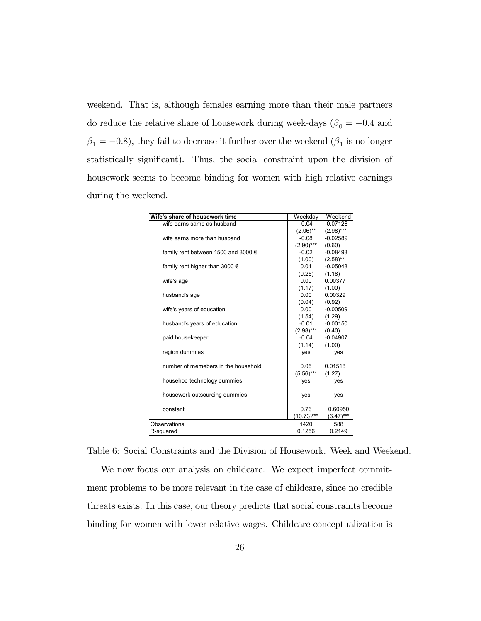weekend. That is, although females earning more than their male partners do reduce the relative share of housework during week-days ( $\beta_0 = -0.4$  and  $\beta_1=-0.8),$  they fail to decrease it further over the weekend  $(\beta_1$  is no longer statistically significant). Thus, the social constraint upon the division of housework seems to become binding for women with high relative earnings during the weekend.

| Wife's share of housework time               | Weekday      | Weekend      |
|----------------------------------------------|--------------|--------------|
| wife earns same as husband                   | $-0.04$      | $-0.07128$   |
|                                              | $(2.06)$ **  | $(2.98)$ *** |
| wife earns more than husband                 | $-0.08$      | $-0.02589$   |
|                                              | $(2.90)$ *** | (0.60)       |
| family rent between 1500 and 3000 $\epsilon$ | $-0.02$      | $-0.08493$   |
|                                              | (1.00)       | $(2.58)$ **  |
| family rent higher than 3000 $\epsilon$      | 0.01         | $-0.05048$   |
|                                              | (0.25)       | (1.18)       |
| wife's age                                   | 0.00         | 0.00377      |
|                                              | (1.17)       | (1.00)       |
| husband's age                                | $0.00 -$     | 0.00329      |
|                                              | (0.04)       | (0.92)       |
| wife's years of education                    | 0.00         | $-0.00509$   |
|                                              | (1.54)       | (1.29)       |
| husband's years of education                 | $-0.01$      | $-0.00150$   |
|                                              | $(2.98)***$  | (0.40)       |
| paid housekeeper                             | $-0.04$      | $-0.04907$   |
|                                              | (1.14)       | (1.00)       |
| region dummies                               | yes          | yes          |
|                                              |              |              |
| number of memebers in the household          | 0.05         | 0.01518      |
|                                              | $(5.56)***$  | (1.27)       |
| househod technology dummies                  | yes          | yes          |
|                                              |              |              |
| housework outsourcing dummies                | yes          | ves          |
|                                              |              |              |
| constant                                     | 0.76         | 0.60950      |
|                                              | $(10.73)***$ | $(6.47)$ *** |
| Observations                                 | 1420         | 588          |
| R-squared                                    | 0.1256       | 0.2149       |

Table 6: Social Constraints and the Division of Housework. Week and Weekend.

We now focus our analysis on childcare. We expect imperfect commitment problems to be more relevant in the case of childcare, since no credible threats exists. In this case, our theory predicts that social constraints become binding for women with lower relative wages. Childcare conceptualization is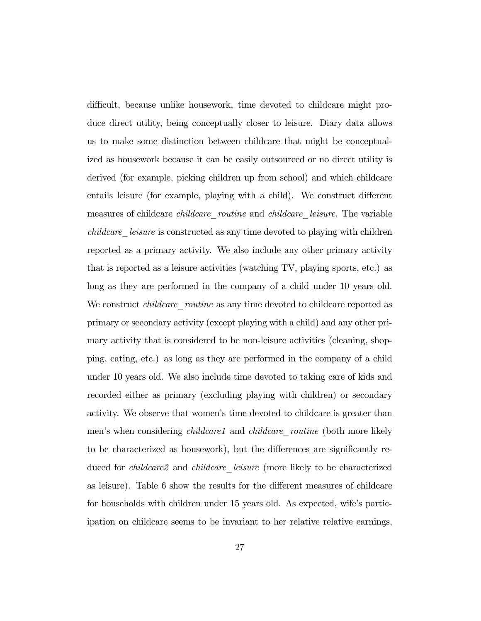difficult, because unlike housework, time devoted to childcare might produce direct utility, being conceptually closer to leisure. Diary data allows us to make some distinction between childcare that might be conceptualized as housework because it can be easily outsourced or no direct utility is derived (for example, picking children up from school) and which childcare entails leisure (for example, playing with a child). We construct different measures of childcare *childcare* routine and *childcare* leisure. The variable childcare leisure is constructed as any time devoted to playing with children reported as a primary activity. We also include any other primary activity that is reported as a leisure activities (watching TV, playing sports, etc.) as long as they are performed in the company of a child under 10 years old. We construct *childcare* routine as any time devoted to childcare reported as primary or secondary activity (except playing with a child) and any other primary activity that is considered to be non-leisure activities (cleaning, shopping, eating, etc.) as long as they are performed in the company of a child under 10 years old. We also include time devoted to taking care of kids and recorded either as primary (excluding playing with children) or secondary activity. We observe that women's time devoted to childcare is greater than men's when considering *childcare1* and *childcare routine* (both more likely to be characterized as housework), but the differences are significantly reduced for *childcare2* and *childcare leisure* (more likely to be characterized as leisure). Table 6 show the results for the different measures of childcare for households with children under 15 years old. As expected, wife's participation on childcare seems to be invariant to her relative relative earnings,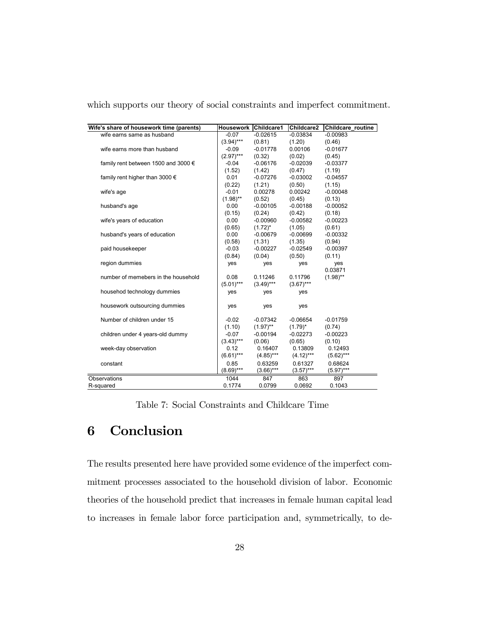| Wife's share of housework time (parents) | Housework Childcare1 |              | Childcare2   | Childcare routine |
|------------------------------------------|----------------------|--------------|--------------|-------------------|
| wife earns same as husband               | $-0.07$              | $-0.02615$   | $-0.03834$   | $-0.00983$        |
|                                          | $(3.94)***$          | (0.81)       | (1.20)       | (0.46)            |
| wife earns more than husband             | $-0.09$              | $-0.01778$   | 0.00106      | $-0.01677$        |
|                                          | $(2.97)***$          | (0.32)       | (0.02)       | (0.45)            |
| family rent between 1500 and 3000 €      | $-0.04$              | $-0.06176$   | $-0.02039$   | $-0.03377$        |
|                                          | (1.52)               | (1.42)       | (0.47)       | (1.19)            |
| family rent higher than 3000 $\epsilon$  | 0.01                 | $-0.07276$   | $-0.03002$   | $-0.04557$        |
|                                          | (0.22)               | (1.21)       | (0.50)       | (1.15)            |
| wife's age                               | $-0.01$              | 0.00278      | 0.00242      | $-0.00048$        |
|                                          | $(1.98)$ **          | (0.52)       | (0.45)       | (0.13)            |
| husband's age                            | 0.00                 | $-0.00105$   | $-0.00188$   | $-0.00052$        |
|                                          | (0.15)               | (0.24)       | (0.42)       | (0.18)            |
| wife's years of education                | 0.00                 | $-0.00960$   | $-0.00582$   | $-0.00223$        |
|                                          | (0.65)               | $(1.72)^{*}$ | (1.05)       | (0.61)            |
| husband's years of education             | 0.00                 | $-0.00679$   | $-0.00699$   | $-0.00332$        |
|                                          | (0.58)               | (1.31)       | (1.35)       | (0.94)            |
| paid housekeeper                         | $-0.03$              | $-0.00227$   | $-0.02549$   | $-0.00397$        |
|                                          | (0.84)               | (0.04)       | (0.50)       | (0.11)            |
| region dummies                           | yes                  | yes          | yes          | yes               |
|                                          |                      |              |              | 0.03871           |
| number of memebers in the household      | 0.08                 | 0.11246      | 0.11796      | $(1.98)$ **       |
|                                          | $(5.01***$           | $(3.49)$ *** | $(3.67)$ *** |                   |
| househod technology dummies              | yes                  | yes          | yes          |                   |
|                                          |                      |              |              |                   |
| housework outsourcing dummies            | yes                  | yes          | yes          |                   |
|                                          |                      |              |              |                   |
| Number of children under 15              | $-0.02$              | $-0.07342$   | $-0.06654$   | $-0.01759$        |
|                                          | (1.10)               | $(1.97)$ **  | $(1.79)^*$   | (0.74)            |
| children under 4 years-old dummy         | $-0.07$              | $-0.00194$   | $-0.02273$   | $-0.00223$        |
|                                          | $(3.43)***$          | (0.06)       | (0.65)       | (0.10)            |
| week-day observation                     | 0.12                 | 0.16407      | 0.13809      | 0.12493           |
|                                          | $(6.61)***$          | $(4.85)$ *** | $(4.12)***$  | $(5.62)***$       |
| constant                                 | 0.85                 | 0.63259      | 0.61327      | 0.68624           |
|                                          | $(8.69)***$          | $(3.66)$ *** | $(3.57)$ *** | $(5.97)$ ***      |
| Observations                             | 1044                 | 847          | 863          | 897               |
| R-squared                                | 0.1774               | 0.0799       | 0.0692       | 0.1043            |
|                                          |                      |              |              |                   |

which supports our theory of social constraints and imperfect commitment.

Table 7: Social Constraints and Childcare Time

# 6 Conclusion

The results presented here have provided some evidence of the imperfect commitment processes associated to the household division of labor. Economic theories of the household predict that increases in female human capital lead to increases in female labor force participation and, symmetrically, to de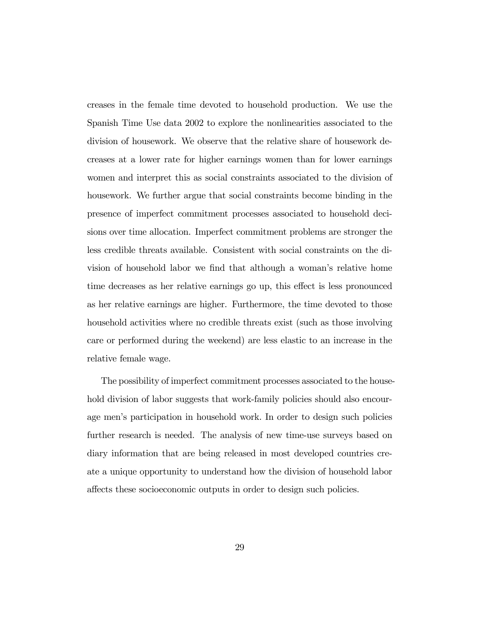creases in the female time devoted to household production. We use the Spanish Time Use data 2002 to explore the nonlinearities associated to the division of housework. We observe that the relative share of housework decreases at a lower rate for higher earnings women than for lower earnings women and interpret this as social constraints associated to the division of housework. We further argue that social constraints become binding in the presence of imperfect commitment processes associated to household decisions over time allocation. Imperfect commitment problems are stronger the less credible threats available. Consistent with social constraints on the division of household labor we find that although a woman's relative home time decreases as her relative earnings go up, this effect is less pronounced as her relative earnings are higher. Furthermore, the time devoted to those household activities where no credible threats exist (such as those involving care or performed during the weekend) are less elastic to an increase in the relative female wage.

The possibility of imperfect commitment processes associated to the household division of labor suggests that work-family policies should also encourage men's participation in household work. In order to design such policies further research is needed. The analysis of new time-use surveys based on diary information that are being released in most developed countries create a unique opportunity to understand how the division of household labor affects these socioeconomic outputs in order to design such policies.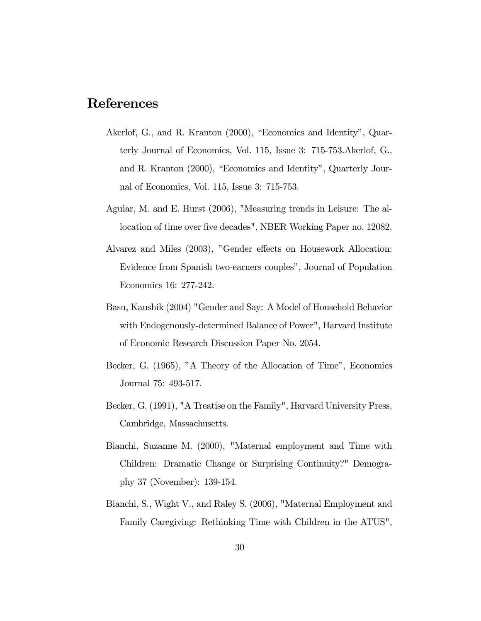# References

- Akerlof, G., and R. Kranton (2000), "Economics and Identity", Quarterly Journal of Economics, Vol. 115, Issue 3: 715-753.Akerlof, G., and R. Kranton (2000), "Economics and Identity", Quarterly Journal of Economics, Vol. 115, Issue 3: 715-753.
- Aguiar, M. and E. Hurst (2006), "Measuring trends in Leisure: The allocation of time over five decades", NBER Working Paper no. 12082.
- Alvarez and Miles (2003), "Gender effects on Housework Allocation: Evidence from Spanish two-earners couples", Journal of Population Economics 16: 277-242.
- Basu, Kaushik (2004) "Gender and Say: A Model of Household Behavior with Endogenously-determined Balance of Power", Harvard Institute of Economic Research Discussion Paper No. 2054.
- Becker, G. (1965), "A Theory of the Allocation of Time", Economics Journal 75: 493-517.
- Becker, G. (1991), "A Treatise on the Family", Harvard University Press, Cambridge, Massachusetts.
- Bianchi, Suzanne M. (2000), "Maternal employment and Time with Children: Dramatic Change or Surprising Continuity?" Demography 37 (November): 139-154.
- Bianchi, S., Wight V., and Raley S. (2006), "Maternal Employment and Family Caregiving: Rethinking Time with Children in the ATUS",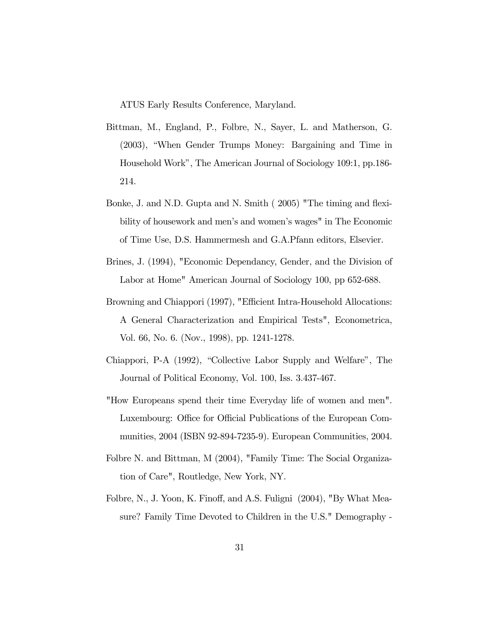ATUS Early Results Conference, Maryland.

- Bittman, M., England, P., Folbre, N., Sayer, L. and Matherson, G. (2003), "When Gender Trumps Money: Bargaining and Time in Household Work", The American Journal of Sociology 109:1, pp.186- 214.
- Bonke, J. and N.D. Gupta and N. Smith ( 2005) "The timing and flexibility of housework and men's and women's wages" in The Economic of Time Use, D.S. Hammermesh and G.A.Pfann editors, Elsevier.
- Brines, J. (1994), "Economic Dependancy, Gender, and the Division of Labor at Home" American Journal of Sociology 100, pp 652-688.
- Browning and Chiappori (1997), "Efficient Intra-Household Allocations: A General Characterization and Empirical Tests", Econometrica, Vol. 66, No. 6. (Nov., 1998), pp. 1241-1278.
- Chiappori, P-A (1992), "Collective Labor Supply and Welfare", The Journal of Political Economy, Vol. 100, Iss. 3.437-467.
- "How Europeans spend their time Everyday life of women and men". Luxembourg: Office for Official Publications of the European Communities, 2004 (ISBN 92-894-7235-9). European Communities, 2004.
- Folbre N. and Bittman, M (2004), "Family Time: The Social Organization of Care", Routledge, New York, NY.
- Folbre, N., J. Yoon, K. Finoff, and A.S. Fuligni (2004), "By What Measure? Family Time Devoted to Children in the U.S." Demography -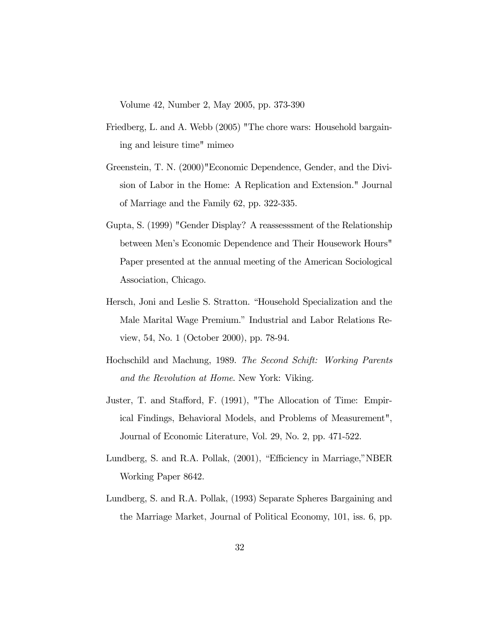Volume 42, Number 2, May 2005, pp. 373-390

- Friedberg, L. and A. Webb (2005) "The chore wars: Household bargaining and leisure time" mimeo
- Greenstein, T. N. (2000)"Economic Dependence, Gender, and the Division of Labor in the Home: A Replication and Extension." Journal of Marriage and the Family 62, pp. 322-335.
- Gupta, S. (1999) "Gender Display? A reassesssment of the Relationship between Men's Economic Dependence and Their Housework Hours" Paper presented at the annual meeting of the American Sociological Association, Chicago.
- Hersch, Joni and Leslie S. Stratton. "Household Specialization and the Male Marital Wage Premium." Industrial and Labor Relations Review, 54, No. 1 (October 2000), pp. 78-94.
- Hochschild and Machung, 1989. The Second Schift: Working Parents and the Revolution at Home. New York: Viking.
- Juster, T. and Stafford, F. (1991), "The Allocation of Time: Empirical Findings, Behavioral Models, and Problems of Measurement", Journal of Economic Literature, Vol. 29, No. 2, pp. 471-522.
- Lundberg, S. and R.A. Pollak, (2001), "Efficiency in Marriage,"NBER Working Paper 8642.
- Lundberg, S. and R.A. Pollak, (1993) Separate Spheres Bargaining and the Marriage Market, Journal of Political Economy, 101, iss. 6, pp.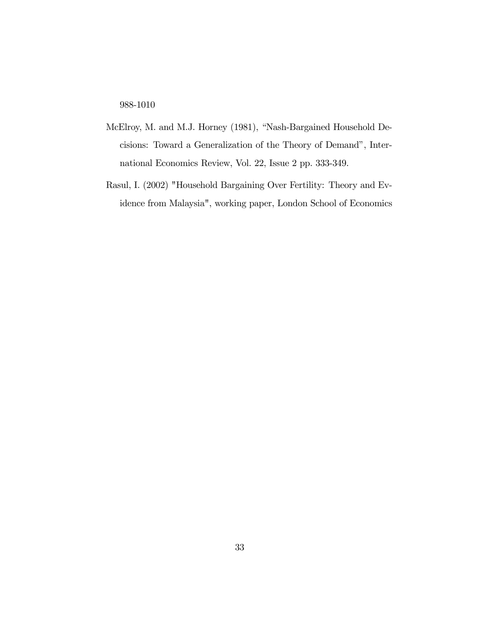988-1010

- McElroy, M. and M.J. Horney (1981), "Nash-Bargained Household Decisions: Toward a Generalization of the Theory of Demand", International Economics Review, Vol. 22, Issue 2 pp. 333-349.
- Rasul, I. (2002) "Household Bargaining Over Fertility: Theory and Evidence from Malaysia", working paper, London School of Economics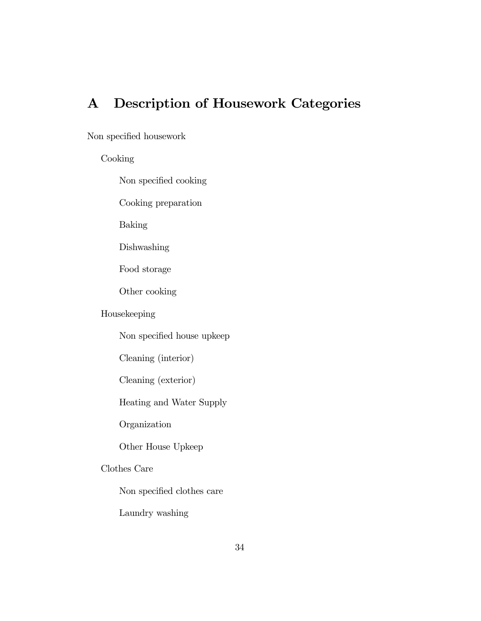# A Description of Housework Categories

### Non specified housework

### Cooking

Non specified cooking

Cooking preparation

Baking

Dishwashing

Food storage

Other cooking

### Housekeeping

Non specified house upkeep

Cleaning (interior)

Cleaning (exterior)

Heating and Water Supply

Organization

Other House Upkeep

### Clothes Care

Non specified clothes care

Laundry washing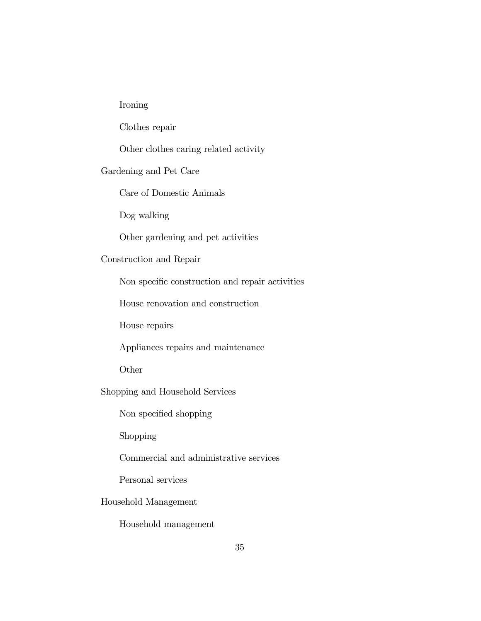### Ironing

Clothes repair

Other clothes caring related activity

#### Gardening and Pet Care

Care of Domestic Animals

Dog walking

Other gardening and pet activities

### Construction and Repair

Non specific construction and repair activities

House renovation and construction

House repairs

Appliances repairs and maintenance

Other

Shopping and Household Services

Non specified shopping

Shopping

Commercial and administrative services

Personal services

Household Management

Household management